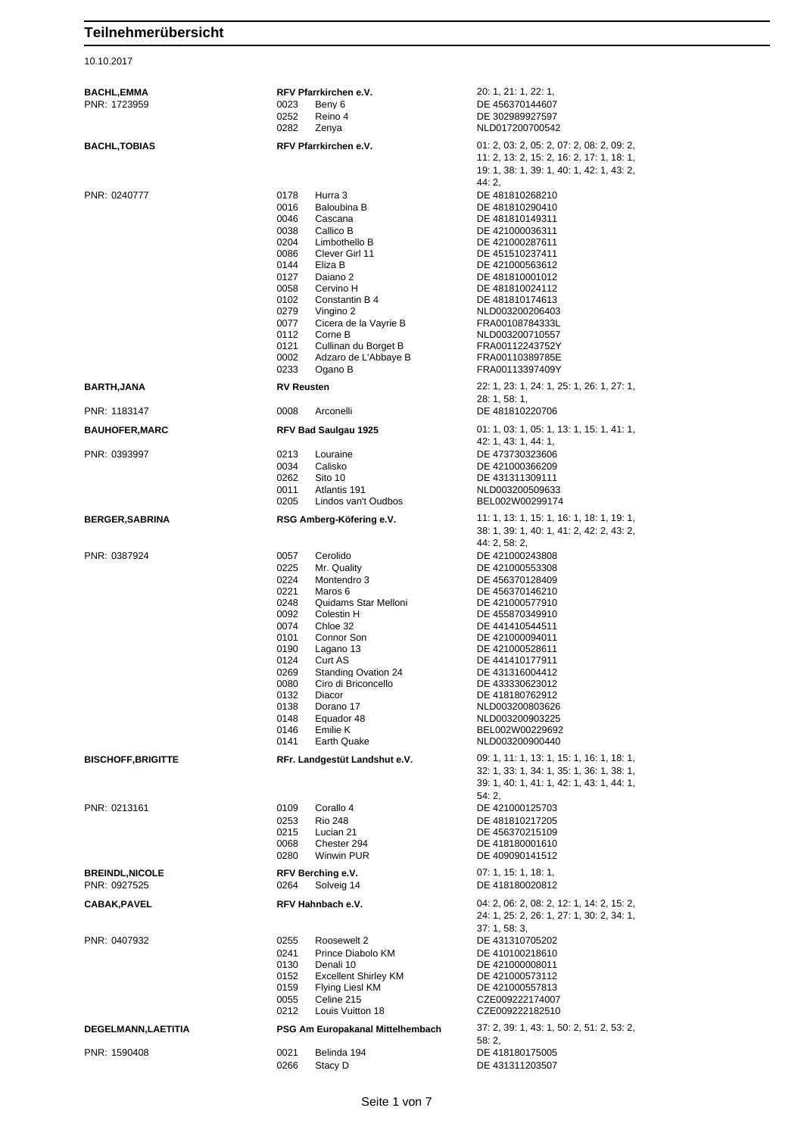10.10.2017

| BACHL,EMMA<br>PNR: 1723959            | RFV Pfarrkirchen e.V.<br>0023                                                                                                                                                                                                                                                                                                                                                                                 | 20: 1, 21: 1, 22: 1,<br>DE 456370144607                                                                                                                                                                                                                                                                                         |
|---------------------------------------|---------------------------------------------------------------------------------------------------------------------------------------------------------------------------------------------------------------------------------------------------------------------------------------------------------------------------------------------------------------------------------------------------------------|---------------------------------------------------------------------------------------------------------------------------------------------------------------------------------------------------------------------------------------------------------------------------------------------------------------------------------|
|                                       | Beny 6<br>0252<br>Reino 4<br>0282<br>Zenya                                                                                                                                                                                                                                                                                                                                                                    | DE 302989927597<br>NLD017200700542                                                                                                                                                                                                                                                                                              |
| <b>BACHL,TOBIAS</b>                   | RFV Pfarrkirchen e.V.                                                                                                                                                                                                                                                                                                                                                                                         | 01: 2, 03: 2, 05: 2, 07: 2, 08: 2, 09: 2,<br>11: 2, 13: 2, 15: 2, 16: 2, 17: 1, 18: 1,<br>19: 1, 38: 1, 39: 1, 40: 1, 42: 1, 43: 2,<br>44: 2,                                                                                                                                                                                   |
| PNR: 0240777                          | 0178<br>Hurra 3<br>Baloubina B<br>0016<br>0046<br>Cascana<br>0038<br>Callico B<br>0204<br>Limbothello B<br>0086<br>Clever Girl 11<br>0144<br>Eliza B<br>0127<br>Daiano 2<br>0058<br>Cervino H<br>0102<br>Constantin B 4<br>0279<br>Vingino 2<br>0077<br>Cicera de la Vayrie B<br>0112<br>Corne B<br>0121<br>Cullinan du Borget B<br>0002<br>Adzaro de L'Abbaye B<br>0233<br>Ogano B                           | DE 481810268210<br>DE 481810290410<br>DE 481810149311<br>DE 421000036311<br>DE 421000287611<br>DE 451510237411<br>DE 421000563612<br>DE 481810001012<br>DE 481810024112<br>DE 481810174613<br>NLD003200206403<br>FRA00108784333L<br>NLD003200710557<br>FRA00112243752Y<br>FRA00110389785E<br>FRA00113397409Y                    |
| <b>BARTH,JANA</b>                     | <b>RV Reusten</b>                                                                                                                                                                                                                                                                                                                                                                                             | 22: 1, 23: 1, 24: 1, 25: 1, 26: 1, 27: 1,<br>28: 1, 58: 1,                                                                                                                                                                                                                                                                      |
| PNR: 1183147                          | 0008<br>Arconelli                                                                                                                                                                                                                                                                                                                                                                                             | DE 481810220706                                                                                                                                                                                                                                                                                                                 |
| <b>BAUHOFER,MARC</b><br>PNR: 0393997  | RFV Bad Saulgau 1925<br>0213<br>Louraine<br>0034<br>Calisko<br>0262<br>Sito 10<br>0011<br>Atlantis 191<br>0205<br>Lindos van't Oudbos                                                                                                                                                                                                                                                                         | $01: 1, 03: 1, 05: 1, 13: 1, 15: 1, 41: 1,$<br>42: 1, 43: 1, 44: 1,<br>DE 473730323606<br>DE 421000366209<br>DE 431311309111<br>NLD003200509633<br>BEL002W00299174                                                                                                                                                              |
| <b>BERGER,SABRINA</b>                 | RSG Amberg-Köfering e.V.                                                                                                                                                                                                                                                                                                                                                                                      | 11: 1, 13: 1, 15: 1, 16: 1, 18: 1, 19: 1,<br>38: 1, 39: 1, 40: 1, 41: 2, 42: 2, 43: 2,<br>44: 2, 58: 2,                                                                                                                                                                                                                         |
| PNR: 0387924                          | Cerolido<br>0057<br>0225<br>Mr. Quality<br>0224<br>Montendro 3<br>0221<br>Maros 6<br>0248<br>Quidams Star Melloni<br>0092<br>Colestin H<br>0074<br>Chloe 32<br>0101<br>Connor Son<br>0190<br>Lagano 13<br>0124<br>Curt AS<br>0269<br><b>Standing Ovation 24</b><br>0080<br>Ciro di Briconcello<br>0132<br>Diacor<br>0138<br>Dorano 17<br>0148<br>Equador 48<br>0146<br>Emilie K<br>0141<br><b>Earth Quake</b> | DE 421000243808<br>DE 421000553308<br>DE 456370128409<br>DE 456370146210<br>DE 421000577910<br>DE 455870349910<br>DE 441410544511<br>DE 421000094011<br>DE 421000528611<br>DE 441410177911<br>DE 431316004412<br>DE 433330623012<br>DE 418180762912<br>NLD003200803626<br>NLD003200903225<br>BEL002W00229692<br>NLD003200900440 |
| <b>BISCHOFF, BRIGITTE</b>             | RFr. Landgestüt Landshut e.V.                                                                                                                                                                                                                                                                                                                                                                                 | 09: 1, 11: 1, 13: 1, 15: 1, 16: 1, 18: 1,<br>32: 1, 33: 1, 34: 1, 35: 1, 36: 1, 38: 1,<br>39: 1, 40: 1, 41: 1, 42: 1, 43: 1, 44: 1,<br>54: 2,                                                                                                                                                                                   |
| PNR: 0213161                          | 0109<br>Corallo 4<br>0253<br><b>Rio 248</b><br>0215<br>Lucian 21<br>0068<br>Chester 294<br>0280<br>Winwin PUR                                                                                                                                                                                                                                                                                                 | DE 421000125703<br>DE 481810217205<br>DE 456370215109<br>DE 418180001610<br>DE 409090141512                                                                                                                                                                                                                                     |
| <b>BREINDL,NICOLE</b><br>PNR: 0927525 | RFV Berching e.V.<br>0264<br>Solveig 14                                                                                                                                                                                                                                                                                                                                                                       | 07: 1, 15: 1, 18: 1,<br>DE 418180020812                                                                                                                                                                                                                                                                                         |
| <b>CABAK,PAVEL</b>                    | RFV Hahnbach e.V.                                                                                                                                                                                                                                                                                                                                                                                             | 04: 2, 06: 2, 08: 2, 12: 1, 14: 2, 15: 2,<br>24: 1, 25: 2, 26: 1, 27: 1, 30: 2, 34: 1,<br>37:1,58:3,                                                                                                                                                                                                                            |
| PNR: 0407932                          | 0255<br>Roosewelt 2<br>0241<br>Prince Diabolo KM<br>0130<br>Denali 10<br><b>Excellent Shirley KM</b><br>0152<br>0159<br>Flying Liesl KM<br>0055<br>Celine 215<br>0212<br>Louis Vuitton 18                                                                                                                                                                                                                     | DE 431310705202<br>DE 410100218610<br>DE 421000008011<br>DE 421000573112<br>DE 421000557813<br>CZE009222174007<br>CZE009222182510                                                                                                                                                                                               |
| <b>DEGELMANN,LAETITIA</b>             | PSG Am Europakanal Mittelhembach                                                                                                                                                                                                                                                                                                                                                                              | 37: 2, 39: 1, 43: 1, 50: 2, 51: 2, 53: 2,<br>58:2,                                                                                                                                                                                                                                                                              |
| PNR: 1590408                          | 0021<br>Belinda 194<br>0266<br>Stacy D                                                                                                                                                                                                                                                                                                                                                                        | DE 418180175005<br>DE 431311203507                                                                                                                                                                                                                                                                                              |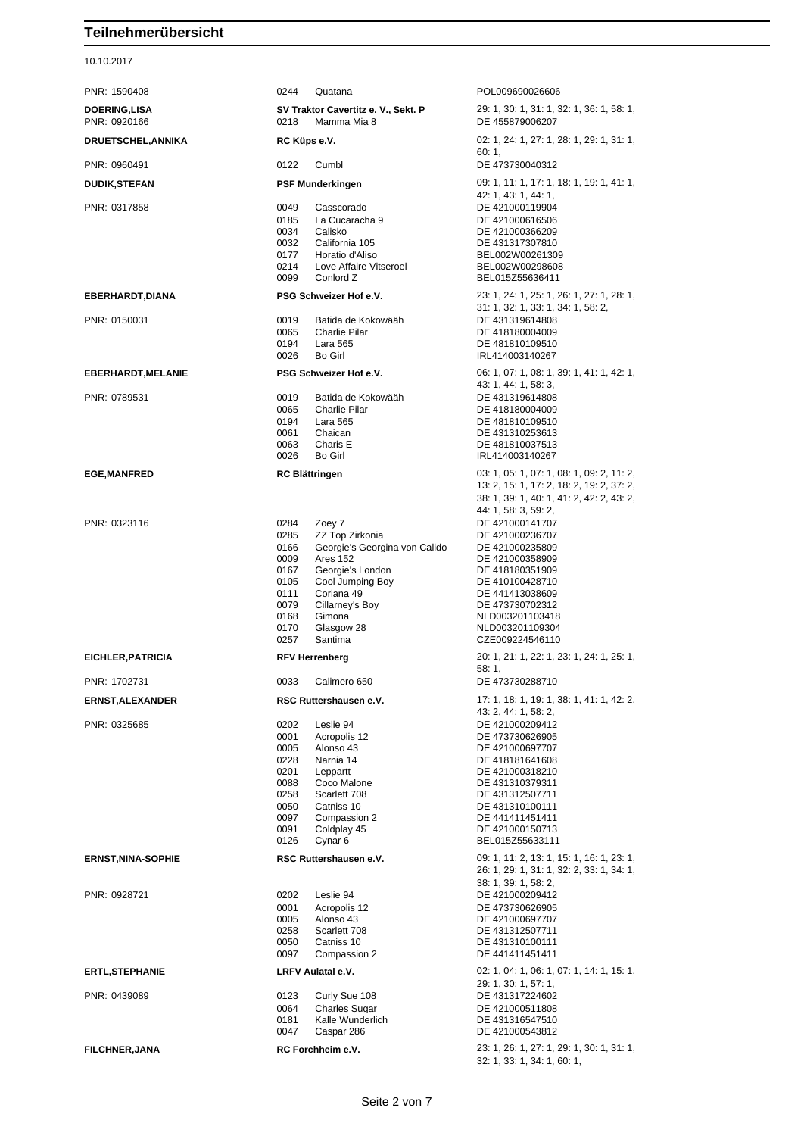10.10.2017

| PNR: 1590408                        | 0244<br>Quatana                                                                                                                                                                                                                                                                   | POL009690026606                                                                                                                                                                                                                       |
|-------------------------------------|-----------------------------------------------------------------------------------------------------------------------------------------------------------------------------------------------------------------------------------------------------------------------------------|---------------------------------------------------------------------------------------------------------------------------------------------------------------------------------------------------------------------------------------|
| <b>DOERING,LISA</b><br>PNR: 0920166 | SV Traktor Cavertitz e. V., Sekt. P<br>0218<br>Mamma Mia 8                                                                                                                                                                                                                        | 29: 1, 30: 1, 31: 1, 32: 1, 36: 1, 58: 1,<br>DE 455879006207                                                                                                                                                                          |
| <b>DRUETSCHEL, ANNIKA</b>           | RC Küps e.V.                                                                                                                                                                                                                                                                      | 02: 1, 24: 1, 27: 1, 28: 1, 29: 1, 31: 1,<br>60:1.                                                                                                                                                                                    |
| PNR: 0960491                        | Cumbl<br>0122                                                                                                                                                                                                                                                                     | DE 473730040312                                                                                                                                                                                                                       |
| <b>DUDIK,STEFAN</b>                 | <b>PSF Munderkingen</b>                                                                                                                                                                                                                                                           | 09: 1, 11: 1, 17: 1, 18: 1, 19: 1, 41: 1,<br>42: 1, 43: 1, 44: 1,                                                                                                                                                                     |
| PNR: 0317858                        | 0049<br>Casscorado<br>0185<br>La Cucaracha 9<br>0034<br>Calisko<br>0032<br>California 105<br>0177<br>Horatio d'Aliso<br>0214<br>Love Affaire Vitseroel<br>0099<br>Conlord Z                                                                                                       | DE 421000119904<br>DE 421000616506<br>DE 421000366209<br>DE 431317307810<br>BEL002W00261309<br>BEL002W00298608<br>BEL015Z55636411                                                                                                     |
| EBERHARDT, DIANA                    | PSG Schweizer Hof e.V.                                                                                                                                                                                                                                                            | 23: 1, 24: 1, 25: 1, 26: 1, 27: 1, 28: 1,                                                                                                                                                                                             |
| PNR: 0150031                        | 0019<br>Batida de Kokowääh<br>0065<br><b>Charlie Pilar</b><br>0194<br>Lara 565<br>0026<br>Bo Girl                                                                                                                                                                                 | 31: 1, 32: 1, 33: 1, 34: 1, 58: 2,<br>DE 431319614808<br>DE 418180004009<br>DE 481810109510<br>IRL414003140267                                                                                                                        |
| <b>EBERHARDT, MELANIE</b>           | PSG Schweizer Hof e.V.                                                                                                                                                                                                                                                            | 06: 1, 07: 1, 08: 1, 39: 1, 41: 1, 42: 1,                                                                                                                                                                                             |
| PNR: 0789531                        | 0019<br>Batida de Kokowääh<br>0065<br><b>Charlie Pilar</b><br>0194<br><b>Lara 565</b><br>0061<br>Chaican<br>Charis E<br>0063<br>0026<br>Bo Girl                                                                                                                                   | 43: 1, 44: 1, 58: 3,<br>DE 431319614808<br>DE 418180004009<br>DE 481810109510<br>DE 431310253613<br>DE 481810037513<br>IRL414003140267                                                                                                |
| <b>EGE,MANFRED</b>                  | <b>RC Blättringen</b>                                                                                                                                                                                                                                                             | 03: 1, 05: 1, 07: 1, 08: 1, 09: 2, 11: 2,<br>13: 2, 15: 1, 17: 2, 18: 2, 19: 2, 37: 2,<br>38: 1, 39: 1, 40: 1, 41: 2, 42: 2, 43: 2,<br>44: 1, 58: 3, 59: 2,                                                                           |
| PNR: 0323116                        | 0284<br>Zoey 7<br>0285<br>ZZ Top Zirkonia<br>0166<br>Georgie's Georgina von Calido<br>0009<br><b>Ares 152</b><br>Georgie's London<br>0167<br>0105<br>Cool Jumping Boy<br>Coriana 49<br>0111<br>Cillarney's Boy<br>0079<br>0168<br>Gimona<br>0170<br>Glasgow 28<br>0257<br>Santima | DE 421000141707<br>DE 421000236707<br>DE 421000235809<br>DE 421000358909<br>DE 418180351909<br>DE 410100428710<br>DE 441413038609<br>DE 473730702312<br>NLD003201103418<br>NLD003201109304<br>CZE009224546110                         |
| EICHLER, PATRICIA                   | <b>RFV Herrenberg</b>                                                                                                                                                                                                                                                             | 20: 1, 21: 1, 22: 1, 23: 1, 24: 1, 25: 1,<br>58:1.                                                                                                                                                                                    |
| PNR: 1702731                        | 0033<br>Calimero 650                                                                                                                                                                                                                                                              | DE 473730288710                                                                                                                                                                                                                       |
| <b>ERNST, ALEXANDER</b>             | RSC Ruttershausen e.V.                                                                                                                                                                                                                                                            | 17: 1, 18: 1, 19: 1, 38: 1, 41: 1, 42: 2,                                                                                                                                                                                             |
| PNR: 0325685                        | 0202<br>Leslie 94<br>0001<br>Acropolis 12<br>0005<br>Alonso 43<br>0228<br>Narnia 14<br>0201<br>Leppartt<br>0088<br>Coco Malone<br>0258<br>Scarlett 708<br>0050<br>Catniss 10<br>0097<br>Compassion 2<br>0091<br>Coldplay 45<br>0126<br>Cynar <sub>6</sub>                         | 43: 2, 44: 1, 58: 2,<br>DE 421000209412<br>DE 473730626905<br>DE 421000697707<br>DE 418181641608<br>DE 421000318210<br>DE 431310379311<br>DE 431312507711<br>DE 431310100111<br>DE 441411451411<br>DE 421000150713<br>BEL015Z55633111 |
| <b>ERNST, NINA-SOPHIE</b>           | RSC Ruttershausen e.V.                                                                                                                                                                                                                                                            | 09: 1, 11: 2, 13: 1, 15: 1, 16: 1, 23: 1,<br>26: 1, 29: 1, 31: 1, 32: 2, 33: 1, 34: 1,<br>38: 1, 39: 1, 58: 2,                                                                                                                        |
| PNR: 0928721                        | 0202<br>Leslie 94<br>0001<br>Acropolis 12<br>0005<br>Alonso 43<br>0258<br>Scarlett 708<br>0050<br>Catniss 10<br>0097<br>Compassion 2                                                                                                                                              | DE 421000209412<br>DE 473730626905<br>DE 421000697707<br>DE 431312507711<br>DE 431310100111<br>DE 441411451411                                                                                                                        |
| <b>ERTL, STEPHANIE</b>              | LRFV Aulatal e.V.                                                                                                                                                                                                                                                                 | 02: 1, 04: 1, 06: 1, 07: 1, 14: 1, 15: 1,<br>29: 1, 30: 1, 57: 1,                                                                                                                                                                     |
| PNR: 0439089                        | 0123<br>Curly Sue 108<br>0064<br><b>Charles Sugar</b><br>0181<br>Kalle Wunderlich<br>0047<br>Caspar 286                                                                                                                                                                           | DE 431317224602<br>DE 421000511808<br>DE 431316547510<br>DE 421000543812                                                                                                                                                              |
| <b>FILCHNER, JANA</b>               | RC Forchheim e.V.                                                                                                                                                                                                                                                                 | 23: 1, 26: 1, 27: 1, 29: 1, 30: 1, 31: 1,<br>32: 1, 33: 1, 34: 1, 60: 1,                                                                                                                                                              |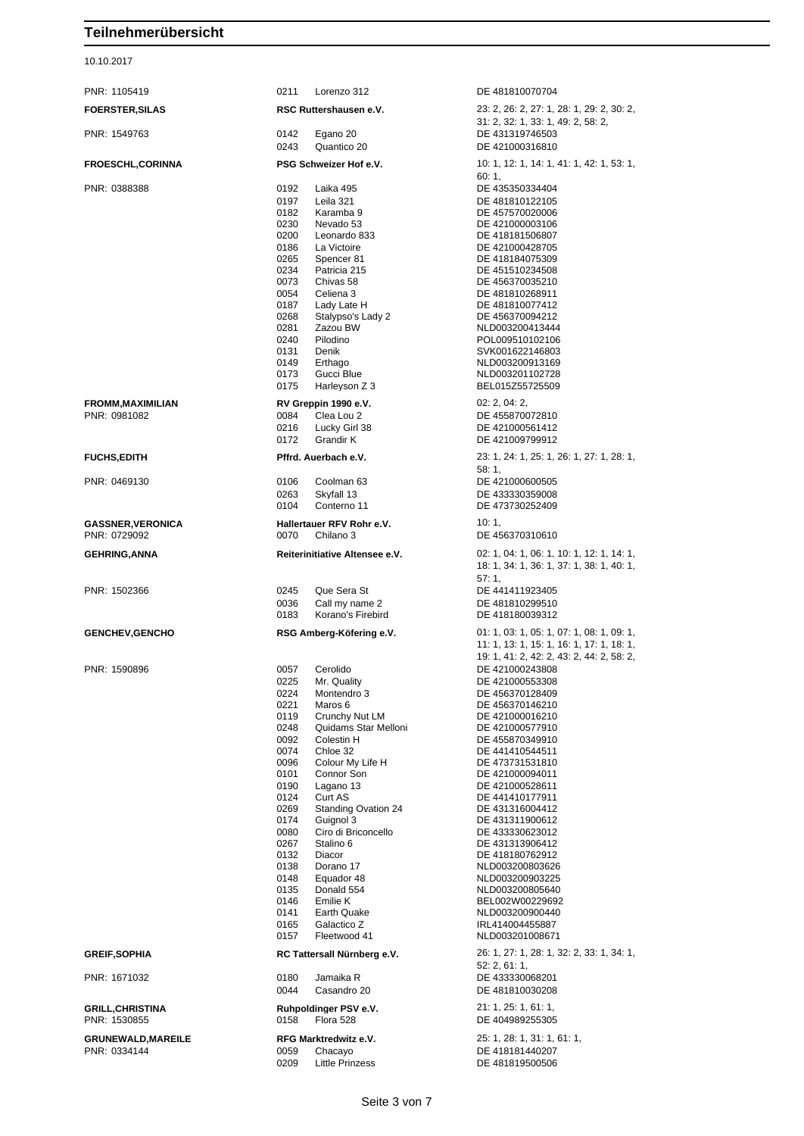## 10.10.2017

| PNR: 1105419                              | 0211<br>Lorenzo 312                                                                                                                                                                                                                                                                                                                                                                                                                                                                                                                                                         | DE 481810070704                                                                                                                                                                                                                                                                                                                                                                                                                                                      |
|-------------------------------------------|-----------------------------------------------------------------------------------------------------------------------------------------------------------------------------------------------------------------------------------------------------------------------------------------------------------------------------------------------------------------------------------------------------------------------------------------------------------------------------------------------------------------------------------------------------------------------------|----------------------------------------------------------------------------------------------------------------------------------------------------------------------------------------------------------------------------------------------------------------------------------------------------------------------------------------------------------------------------------------------------------------------------------------------------------------------|
| <b>FOERSTER, SILAS</b>                    | RSC Ruttershausen e.V.                                                                                                                                                                                                                                                                                                                                                                                                                                                                                                                                                      | 23: 2, 26: 2, 27: 1, 28: 1, 29: 2, 30: 2,<br>31: 2, 32: 1, 33: 1, 49: 2, 58: 2,                                                                                                                                                                                                                                                                                                                                                                                      |
| PNR: 1549763                              | Egano 20<br>0142<br>0243<br>Quantico 20                                                                                                                                                                                                                                                                                                                                                                                                                                                                                                                                     | DE 431319746503<br>DE 421000316810                                                                                                                                                                                                                                                                                                                                                                                                                                   |
| <b>FROESCHL,CORINNA</b>                   | PSG Schweizer Hof e.V.                                                                                                                                                                                                                                                                                                                                                                                                                                                                                                                                                      | 10: 1, 12: 1, 14: 1, 41: 1, 42: 1, 53: 1,                                                                                                                                                                                                                                                                                                                                                                                                                            |
| PNR: 0388388                              | 0192<br>Laika 495<br>0197<br>Leila 321<br>0182<br>Karamba 9<br>0230<br>Nevado 53<br>0200<br>Leonardo 833<br>0186<br>La Victoire<br>0265<br>Spencer 81<br>0234<br>Patricia 215<br>0073<br>Chivas 58<br>0054<br>Celiena 3<br>0187<br>Lady Late H<br>0268<br>Stalypso's Lady 2<br>Zazou BW<br>0281<br>0240<br>Pilodino<br>0131<br>Denik<br>0149<br>Erthago<br>0173<br>Gucci Blue<br>0175<br>Harleyson Z 3                                                                                                                                                                      | 60:1,<br>DE 435350334404<br>DE 481810122105<br>DE 457570020006<br>DE 421000003106<br>DE 418181506807<br>DE 421000428705<br>DE 418184075309<br>DE 451510234508<br>DE 456370035210<br>DE 481810268911<br>DE 481810077412<br>DE 456370094212<br>NLD003200413444<br>POL009510102106<br>SVK001622146803<br>NLD003200913169<br>NLD003201102728<br>BEL015Z55725509                                                                                                          |
| <b>FROMM, MAXIMILIAN</b><br>PNR: 0981082  | RV Greppin 1990 e.V.<br>0084<br>Clea Lou 2<br>0216<br>Lucky Girl 38<br>0172<br>Grandir K                                                                                                                                                                                                                                                                                                                                                                                                                                                                                    | 02: 2, 04: 2,<br>DE 455870072810<br>DE 421000561412<br>DE 421009799912                                                                                                                                                                                                                                                                                                                                                                                               |
| <b>FUCHS,EDITH</b>                        | Pffrd. Auerbach e.V.                                                                                                                                                                                                                                                                                                                                                                                                                                                                                                                                                        | 23: 1, 24: 1, 25: 1, 26: 1, 27: 1, 28: 1,<br>58: 1,                                                                                                                                                                                                                                                                                                                                                                                                                  |
| PNR: 0469130                              | 0106<br>Coolman 63<br>0263<br>Skyfall 13<br>0104<br>Conterno 11                                                                                                                                                                                                                                                                                                                                                                                                                                                                                                             | DE 421000600505<br>DE 433330359008<br>DE 473730252409                                                                                                                                                                                                                                                                                                                                                                                                                |
| <b>GASSNER, VERONICA</b><br>PNR: 0729092  | Hallertauer RFV Rohr e.V.<br>0070<br>Chilano 3                                                                                                                                                                                                                                                                                                                                                                                                                                                                                                                              | 10:1,<br>DE 456370310610                                                                                                                                                                                                                                                                                                                                                                                                                                             |
| GEHRING,ANNA                              | Reiterinitiative Altensee e.V.                                                                                                                                                                                                                                                                                                                                                                                                                                                                                                                                              | 02: 1, 04: 1, 06: 1, 10: 1, 12: 1, 14: 1,<br>18: 1, 34: 1, 36: 1, 37: 1, 38: 1, 40: 1,<br>57:1,                                                                                                                                                                                                                                                                                                                                                                      |
| PNR: 1502366                              | Que Sera St<br>0245<br>0036<br>Call my name 2<br>0183<br>Korano's Firebird                                                                                                                                                                                                                                                                                                                                                                                                                                                                                                  | DE 441411923405<br>DE 481810299510<br>DE 418180039312                                                                                                                                                                                                                                                                                                                                                                                                                |
| <b>GENCHEV, GENCHO</b>                    | RSG Amberg-Köfering e.V.                                                                                                                                                                                                                                                                                                                                                                                                                                                                                                                                                    | 01: 1, 03: 1, 05: 1, 07: 1, 08: 1, 09: 1,<br>11: 1, 13: 1, 15: 1, 16: 1, 17: 1, 18: 1,<br>19: 1, 41: 2, 42: 2, 43: 2, 44: 2, 58: 2,                                                                                                                                                                                                                                                                                                                                  |
| PNR: 1590896                              | Cerolido<br>0057<br>0225<br>Mr. Quality<br>0224<br>Montendro 3<br>0221<br>Maros 6<br>0119<br>Crunchy Nut LM<br>0248<br>Quidams Star Melloni<br>0092<br>Colestin H<br>0074<br>Chloe 32<br>0096<br>Colour My Life H<br>0101<br>Connor Son<br>0190<br>Lagano 13<br>0124<br>Curt AS<br>0269<br><b>Standing Ovation 24</b><br>0174<br>Guignol 3<br>0080<br>Ciro di Briconcello<br>0267<br>Stalino 6<br>0132<br>Diacor<br>0138<br>Dorano 17<br>0148<br>Equador 48<br>0135<br>Donald 554<br>0146<br>Emilie K<br>0141<br>Earth Quake<br>0165<br>Galactico Z<br>0157<br>Fleetwood 41 | DE 421000243808<br>DE 421000553308<br>DE 456370128409<br>DE 456370146210<br>DE 421000016210<br>DE 421000577910<br>DE 455870349910<br>DE 441410544511<br>DE 473731531810<br>DE 421000094011<br>DE 421000528611<br>DE 441410177911<br>DE 431316004412<br>DE 431311900612<br>DE 433330623012<br>DE 431313906412<br>DE 418180762912<br>NLD003200803626<br>NLD003200903225<br>NLD003200805640<br>BEL002W00229692<br>NLD003200900440<br>IRL414004455887<br>NLD003201008671 |
| <b>GREIF, SOPHIA</b>                      | RC Tattersall Nürnberg e.V.                                                                                                                                                                                                                                                                                                                                                                                                                                                                                                                                                 | 26: 1, 27: 1, 28: 1, 32: 2, 33: 1, 34: 1,<br>52: 2, 61: 1,                                                                                                                                                                                                                                                                                                                                                                                                           |
| PNR: 1671032                              | 0180<br>Jamaika R<br>0044<br>Casandro 20                                                                                                                                                                                                                                                                                                                                                                                                                                                                                                                                    | DE 433330068201<br>DE 481810030208                                                                                                                                                                                                                                                                                                                                                                                                                                   |
| <b>GRILL,CHRISTINA</b><br>PNR: 1530855    | Ruhpoldinger PSV e.V.<br>0158<br>Flora 528                                                                                                                                                                                                                                                                                                                                                                                                                                                                                                                                  | 21: 1, 25: 1, 61: 1,<br>DE 404989255305                                                                                                                                                                                                                                                                                                                                                                                                                              |
| <b>GRUNEWALD, MAREILE</b><br>PNR: 0334144 | RFG Marktredwitz e.V.<br>0059<br>Chacayo<br>0209<br><b>Little Prinzess</b>                                                                                                                                                                                                                                                                                                                                                                                                                                                                                                  | 25: 1, 28: 1, 31: 1, 61: 1,<br>DE 418181440207<br>DE 481819500506                                                                                                                                                                                                                                                                                                                                                                                                    |

# 18: 1, 34: 1, 36: 1, 37: 1, 38: 1, 40: 1, 11: 1, 13: 1, 15: 1, 16: 1, 17: 1, 18: 1, 19: 1, 41: 2, 42: 2, 43: 2, 44: 2, 58: 2, 52: 2, 61: 1,

Seite 3 von 7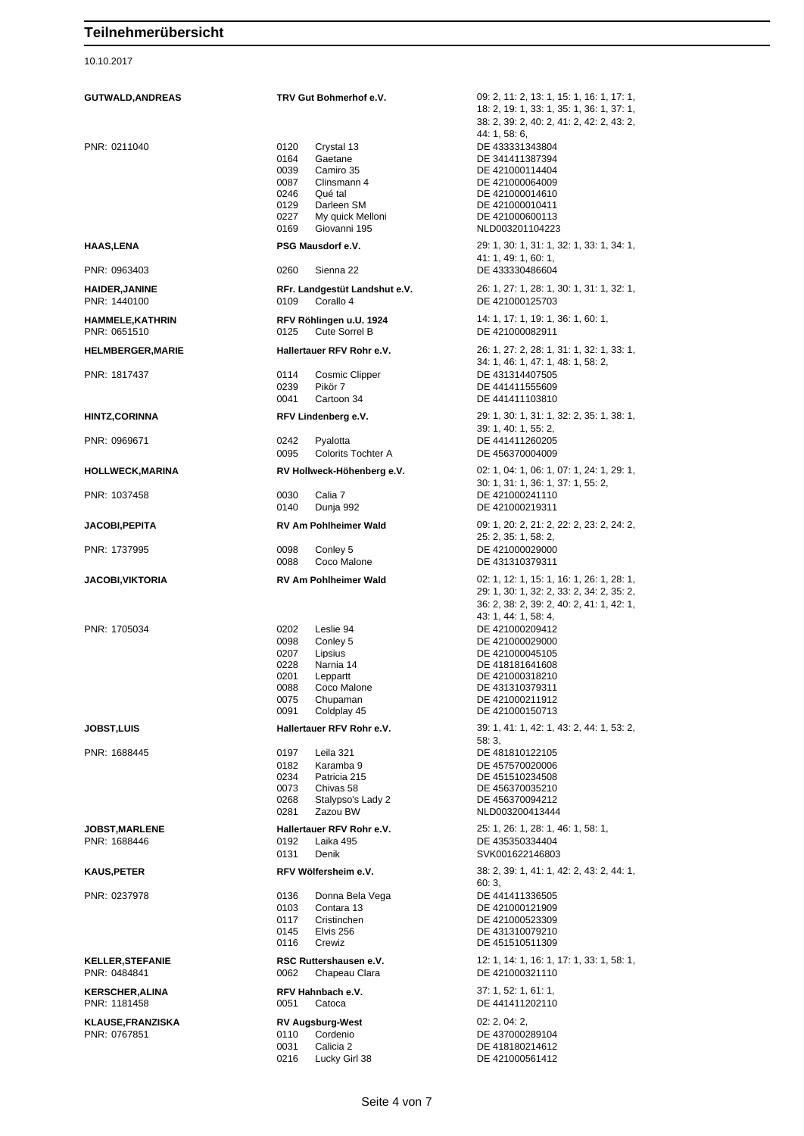### 10.10.2017

| <b>GUTWALD, ANDREAS</b>                  | TRV Gut Bohmerhof e.V.                                                                                                                                                         | 09: 2, 11: 2, 13: 1, 15: 1, 16: 1, 17: 1,<br>18: 2, 19: 1, 33: 1, 35: 1, 36: 1, 37: 1,<br>38: 2, 39: 2, 40: 2, 41: 2, 42: 2, 43: 2,                                   |
|------------------------------------------|--------------------------------------------------------------------------------------------------------------------------------------------------------------------------------|-----------------------------------------------------------------------------------------------------------------------------------------------------------------------|
| PNR: 0211040                             | 0120<br>Crystal 13<br>0164<br>Gaetane<br>0039<br>Camiro 35<br>0087<br>Clinsmann 4<br>0246<br>Qué tal<br>0129<br>Darleen SM<br>0227<br>My quick Melloni<br>0169<br>Giovanni 195 | 44: 1, 58: 6,<br>DE 433331343804<br>DE 341411387394<br>DE 421000114404<br>DE 421000064009<br>DE 421000014610<br>DE 421000010411<br>DE 421000600113<br>NLD003201104223 |
| <b>HAAS,LENA</b>                         | PSG Mausdorf e.V.                                                                                                                                                              | 29: 1, 30: 1, 31: 1, 32: 1, 33: 1, 34: 1,<br>41: 1, 49: 1, 60: 1,                                                                                                     |
| PNR: 0963403                             | 0260<br>Sienna 22                                                                                                                                                              | DE 433330486604                                                                                                                                                       |
| <b>HAIDER, JANINE</b><br>PNR: 1440100    | RFr. Landgestüt Landshut e.V.<br>0109<br>Corallo 4                                                                                                                             | 26: 1, 27: 1, 28: 1, 30: 1, 31: 1, 32: 1,<br>DE 421000125703                                                                                                          |
| <b>HAMMELE, KATHRIN</b><br>PNR: 0651510  | RFV Röhlingen u.U. 1924<br>0125<br><b>Cute Sorrel B</b>                                                                                                                        | 14: 1, 17: 1, 19: 1, 36: 1, 60: 1,<br>DE 421000082911                                                                                                                 |
| <b>HELMBERGER, MARIE</b>                 | Hallertauer RFV Rohr e.V.                                                                                                                                                      | 26: 1, 27: 2, 28: 1, 31: 1, 32: 1, 33: 1,                                                                                                                             |
| PNR: 1817437                             | 0114<br>Cosmic Clipper<br>0239<br>Pikör 7<br>0041<br>Cartoon 34                                                                                                                | 34: 1, 46: 1, 47: 1, 48: 1, 58: 2,<br>DE 431314407505<br>DE 441411555609<br>DE 441411103810                                                                           |
| <b>HINTZ, CORINNA</b>                    | RFV Lindenberg e.V.                                                                                                                                                            | 29: 1, 30: 1, 31: 1, 32: 2, 35: 1, 38: 1,                                                                                                                             |
| PNR: 0969671                             | 0242<br>Pyalotta<br>0095<br><b>Colorits Tochter A</b>                                                                                                                          | 39: 1, 40: 1, 55: 2,<br>DE 441411260205<br>DE 456370004009                                                                                                            |
| <b>HOLLWECK, MARINA</b>                  | RV Hollweck-Höhenberg e.V.                                                                                                                                                     | 02: 1, 04: 1, 06: 1, 07: 1, 24: 1, 29: 1,<br>30: 1, 31: 1, 36: 1, 37: 1, 55: 2,                                                                                       |
| PNR: 1037458                             | 0030<br>Calia 7<br>0140<br>Dunja 992                                                                                                                                           | DE 421000241110<br>DE 421000219311                                                                                                                                    |
| <b>JACOBI, PEPITA</b>                    | <b>RV Am Pohlheimer Wald</b>                                                                                                                                                   | 09: 1, 20: 2, 21: 2, 22: 2, 23: 2, 24: 2,                                                                                                                             |
| PNR: 1737995                             | 0098<br>Conley 5<br>0088<br>Coco Malone                                                                                                                                        | 25: 2, 35: 1, 58: 2,<br>DE 421000029000<br>DE 431310379311                                                                                                            |
| <b>JACOBI, VIKTORIA</b>                  | <b>RV Am Pohlheimer Wald</b>                                                                                                                                                   | 02: 1, 12: 1, 15: 1, 16: 1, 26: 1, 28: 1,<br>29: 1, 30: 1, 32: 2, 33: 2, 34: 2, 35: 2,<br>36: 2, 38: 2, 39: 2, 40: 2, 41: 1, 42: 1,<br>43: 1, 44: 1, 58: 4,           |
| PNR: 1705034                             | 0202<br>Leslie 94<br>0098<br>Conley 5<br>0207<br>Lipsius<br>0228<br>Narnia 14<br>0201<br>Leppartt<br>0088<br>Coco Malone<br>0075<br>Chupaman<br>0091<br>Coldplay 45            | DE 421000209412<br>DE 421000029000<br>DE 421000045105<br>DE 418181641608<br>DE 421000318210<br>DE 431310379311<br>DE 421000211912<br>DE 421000150713                  |
| <b>JOBST,LUIS</b>                        | Hallertauer RFV Rohr e.V.                                                                                                                                                      | 39: 1, 41: 1, 42: 1, 43: 2, 44: 1, 53: 2,                                                                                                                             |
| PNR: 1688445                             | 0197<br>Leila 321<br>0182<br>Karamba 9<br>0234<br>Patricia 215<br>0073<br>Chivas 58<br>0268<br>Stalypso's Lady 2<br>Zazou BW<br>0281                                           | 58:3.<br>DE 481810122105<br>DE 457570020006<br>DE 451510234508<br>DE 456370035210<br>DE 456370094212<br>NLD003200413444                                               |
| <b>JOBST, MARLENE</b><br>PNR: 1688446    | Hallertauer RFV Rohr e.V.<br>0192<br>Laika 495<br>0131<br>Denik                                                                                                                | 25: 1, 26: 1, 28: 1, 46: 1, 58: 1,<br>DE 435350334404<br>SVK001622146803                                                                                              |
| <b>KAUS, PETER</b>                       | RFV Wölfersheim e.V.                                                                                                                                                           | 38: 2, 39: 1, 41: 1, 42: 2, 43: 2, 44: 1,                                                                                                                             |
| PNR: 0237978                             | 0136<br>Donna Bela Vega                                                                                                                                                        | 60:3,<br>DE 441411336505                                                                                                                                              |
|                                          | 0103<br>Contara 13<br>0117<br>Cristinchen<br>0145<br>Elvis 256<br>0116<br>Crewiz                                                                                               | DE 421000121909<br>DE 421000523309<br>DE 431310079210<br>DE 451510511309                                                                                              |
| <b>KELLER, STEFANIE</b><br>PNR: 0484841  | RSC Ruttershausen e.V.<br>0062<br>Chapeau Clara                                                                                                                                | 12: 1, 14: 1, 16: 1, 17: 1, 33: 1, 58: 1,<br>DE 421000321110                                                                                                          |
| <b>KERSCHER, ALINA</b><br>PNR: 1181458   | RFV Hahnbach e.V.<br>0051<br>Catoca                                                                                                                                            | 37: 1, 52: 1, 61: 1,<br>DE 441411202110                                                                                                                               |
| <b>KLAUSE, FRANZISKA</b><br>PNR: 0767851 | <b>RV Augsburg-West</b><br>Cordenio<br>0110<br>0031<br>Calicia 2<br>0216<br>Lucky Girl 38                                                                                      | 02: 2, 04: 2,<br>DE 437000289104<br>DE 418180214612<br>DE 421000561412                                                                                                |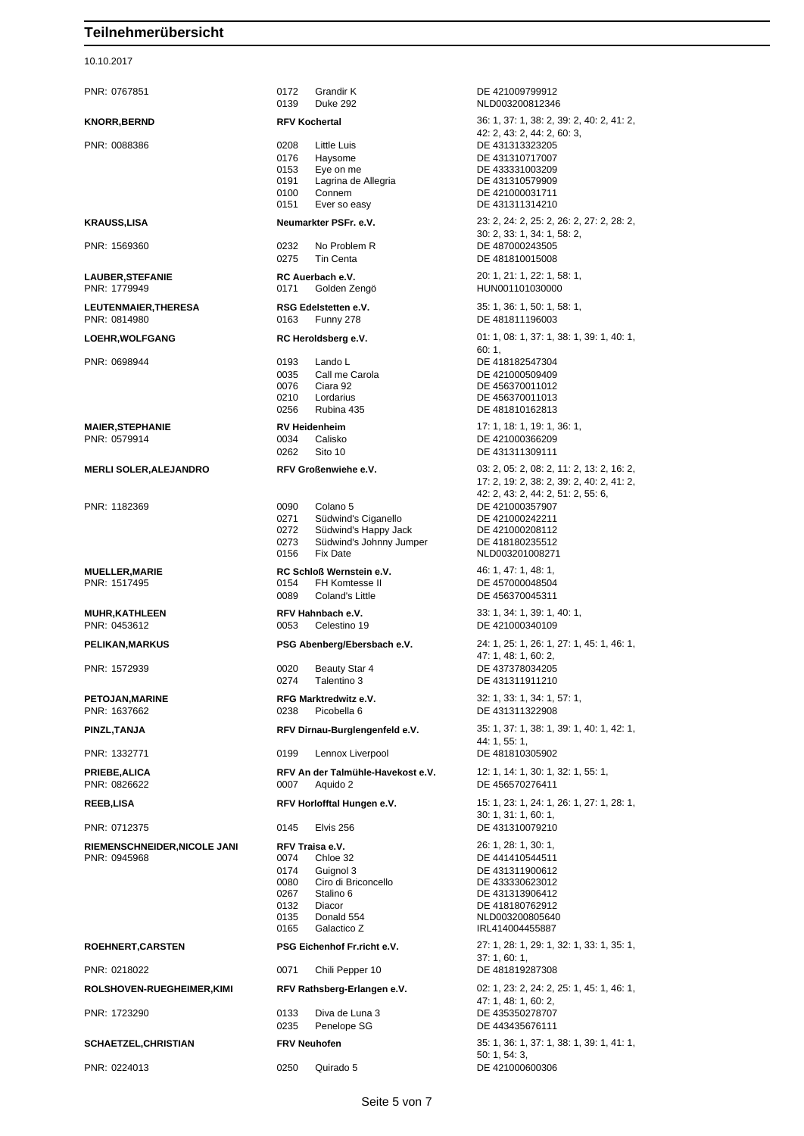10.10.2017

| PNR: 0767851                            | 0172<br>0139                                         | Grandir K<br><b>Duke 292</b>                                                                          | DE 421009799912<br>NLD003200812346                                                                                                |
|-----------------------------------------|------------------------------------------------------|-------------------------------------------------------------------------------------------------------|-----------------------------------------------------------------------------------------------------------------------------------|
| <b>KNORR, BERND</b>                     |                                                      | <b>RFV Kochertal</b>                                                                                  | 36: 1, 37: 1, 38: 2, 39: 2, 40: 2, 41: 2,<br>42: 2, 43: 2, 44: 2, 60: 3,                                                          |
| PNR: 0088386                            | 0208<br>0176<br>0153<br>0191<br>0100<br>0151         | Little Luis<br>Haysome<br>Eye on me<br>Lagrina de Allegria<br>Connem<br>Ever so easy                  | DE 431313323205<br>DE 431310717007<br>DE 433331003209<br>DE 431310579909<br>DE 421000031711<br>DE 431311314210                    |
| <b>KRAUSS,LISA</b>                      |                                                      | Neumarkter PSFr. e.V.                                                                                 | 23: 2, 24: 2, 25: 2, 26: 2, 27: 2, 28: 2,<br>30: 2, 33: 1, 34: 1, 58: 2,                                                          |
| PNR: 1569360                            | 0232<br>0275                                         | No Problem R<br>Tin Centa                                                                             | DE 487000243505<br>DE 481810015008                                                                                                |
| <b>LAUBER, STEFANIE</b><br>PNR: 1779949 | 0171                                                 | RC Auerbach e.V.<br>Golden Zengö                                                                      | 20: 1, 21: 1, 22: 1, 58: 1,<br>HUN001101030000                                                                                    |
| LEUTENMAIER, THERESA<br>PNR: 0814980    | 0163                                                 | RSG Edelstetten e.V.<br>Funny 278                                                                     | 35: 1, 36: 1, 50: 1, 58: 1,<br>DE 481811196003                                                                                    |
| LOEHR, WOLFGANG                         |                                                      | RC Heroldsberg e.V.                                                                                   | 01: 1, 08: 1, 37: 1, 38: 1, 39: 1, 40: 1,<br>60:1,                                                                                |
| PNR: 0698944                            | 0193<br>0035<br>0076<br>0210<br>0256                 | Lando L<br>Call me Carola<br>Ciara 92<br>Lordarius<br>Rubina 435                                      | DE 418182547304<br>DE 421000509409<br>DE 456370011012<br>DE 456370011013<br>DE 481810162813                                       |
| <b>MAIER, STEPHANIE</b><br>PNR: 0579914 | 0034<br>0262                                         | <b>RV Heidenheim</b><br>Calisko<br>Sito 10                                                            | 17: 1, 18: 1, 19: 1, 36: 1,<br>DE 421000366209<br>DE 431311309111                                                                 |
| <b>MERLI SOLER, ALEJANDRO</b>           |                                                      | RFV Großenwiehe e.V.                                                                                  | 03: 2, 05: 2, 08: 2, 11: 2, 13: 2, 16: 2,<br>17: 2, 19: 2, 38: 2, 39: 2, 40: 2, 41: 2,<br>42: 2, 43: 2, 44: 2, 51: 2, 55: 6,      |
| PNR: 1182369                            | 0090<br>0271<br>0272<br>0273<br>0156                 | Colano 5<br>Südwind's Ciganello<br>Südwind's Happy Jack<br>Südwind's Johnny Jumper<br><b>Fix Date</b> | DE 421000357907<br>DE 421000242211<br>DE 421000208112<br>DE 418180235512<br>NLD003201008271                                       |
| <b>MUELLER, MARIE</b><br>PNR: 1517495   | 0154<br>0089                                         | RC Schloß Wernstein e.V.<br>FH Komtesse II<br>Coland's Little                                         | 46: 1, 47: 1, 48: 1,<br>DE 457000048504<br>DE 456370045311                                                                        |
| <b>MUHR, KATHLEEN</b><br>PNR: 0453612   | 0053                                                 | RFV Hahnbach e.V.<br>Celestino 19                                                                     | 33: 1, 34: 1, 39: 1, 40: 1,<br>DE 421000340109                                                                                    |
| PELIKAN, MARKUS                         |                                                      | PSG Abenberg/Ebersbach e.V.                                                                           | 24: 1, 25: 1, 26: 1, 27: 1, 45: 1, 46: 1,<br>47: 1, 48: 1, 60: 2,                                                                 |
| PNR: 1572939                            | 0020<br>0274                                         | Beauty Star 4<br>Talentino 3                                                                          | DE 437378034205<br>DE 431311911210                                                                                                |
| PETOJAN, MARINE<br>PNR: 1637662         | 0238                                                 | RFG Marktredwitz e.V.<br>Picobella 6                                                                  | 32: 1, 33: 1, 34: 1, 57: 1,<br>DE 431311322908                                                                                    |
| PINZL, TANJA                            |                                                      | RFV Dirnau-Burglengenfeld e.V.                                                                        | 35: 1, 37: 1, 38: 1, 39: 1, 40: 1, 42: 1,<br>44: 1, 55: 1,                                                                        |
| PNR: 1332771                            | 0199                                                 | Lennox Liverpool                                                                                      | DE 481810305902                                                                                                                   |
| <b>PRIEBE, ALICA</b><br>PNR: 0826622    | 0007                                                 | RFV An der Talmühle-Havekost e.V.<br>Aquido 2                                                         | 12: 1, 14: 1, 30: 1, 32: 1, 55: 1,<br>DE 456570276411                                                                             |
| <b>REEB,LISA</b><br>PNR: 0712375        | 0145                                                 | RFV Horlofftal Hungen e.V.<br>Elvis 256                                                               | 15: 1, 23: 1, 24: 1, 26: 1, 27: 1, 28: 1,<br>30: 1, 31: 1, 60: 1,<br>DE 431310079210                                              |
| RIEMENSCHNEIDER, NICOLE JANI            |                                                      | RFV Traisa e.V.                                                                                       | 26: 1, 28: 1, 30: 1,                                                                                                              |
| PNR: 0945968                            | 0074<br>0174<br>0080<br>0267<br>0132<br>0135<br>0165 | Chloe 32<br>Guignol 3<br>Ciro di Briconcello<br>Stalino 6<br>Diacor<br>Donald 554<br>Galactico Z      | DE 441410544511<br>DE 431311900612<br>DE 433330623012<br>DE 431313906412<br>DE 418180762912<br>NLD003200805640<br>IRL414004455887 |
| ROEHNERT, CARSTEN                       |                                                      | PSG Eichenhof Fr.richt e.V.                                                                           | 27: 1, 28: 1, 29: 1, 32: 1, 33: 1, 35: 1,<br>37:1,60:1,                                                                           |
| PNR: 0218022                            | 0071                                                 | Chili Pepper 10                                                                                       | DE 481819287308                                                                                                                   |
| ROLSHOVEN-RUEGHEIMER, KIMI              |                                                      | RFV Rathsberg-Erlangen e.V.                                                                           | 02: 1, 23: 2, 24: 2, 25: 1, 45: 1, 46: 1,<br>47: 1, 48: 1, 60: 2,                                                                 |
| PNR: 1723290                            | 0133<br>0235                                         | Diva de Luna 3<br>Penelope SG                                                                         | DE 435350278707<br>DE 443435676111                                                                                                |
| <b>SCHAETZEL, CHRISTIAN</b>             |                                                      | <b>FRV Neuhofen</b>                                                                                   | 35: 1, 36: 1, 37: 1, 38: 1, 39: 1, 41: 1,<br>50: 1, 54: 3,                                                                        |
| PNR: 0224013                            | 0250                                                 | Quirado 5                                                                                             | DE 421000600306                                                                                                                   |

NLD003200812346 42: 2, 43: 2, 44: 2, 60: 3, DE 431310717007 DE 433331003209 DE 431310579909 DE 421000031711 DE 431311314210 30: 2, 33: 1, 34: 1, 58: 2, DE 481810015008 60: 1, DE 421000509409 DE 456370011012 DE 456370011013 DE 481810162813 DE 421000366209 DE 431311309111 17: 2, 19: 2, 38: 2, 39: 2, 40: 2, 41: 2, 42: 2, 43: 2, 44: 2, 51: 2, 55: 6, DE 421000242211 DE 421000208112 DE 418180235512 NLD003201008271 DE 457000048504 DE 456370045311 DE 421000340109 47: 1, 48: 1, 60: 2, DE 431311911210 44: 1, 55: 1, DE 456570276411 30: 1, 31: 1, 60: 1, DE 431311900612 DE 433330623012 DE 431313906412 DE 418180762912 NLD003200805640 IRL414004455887 37: 1, 60: 1, 47: 1, 48: 1, 60: 2, DE 443435676111 50: 1, 54: 3,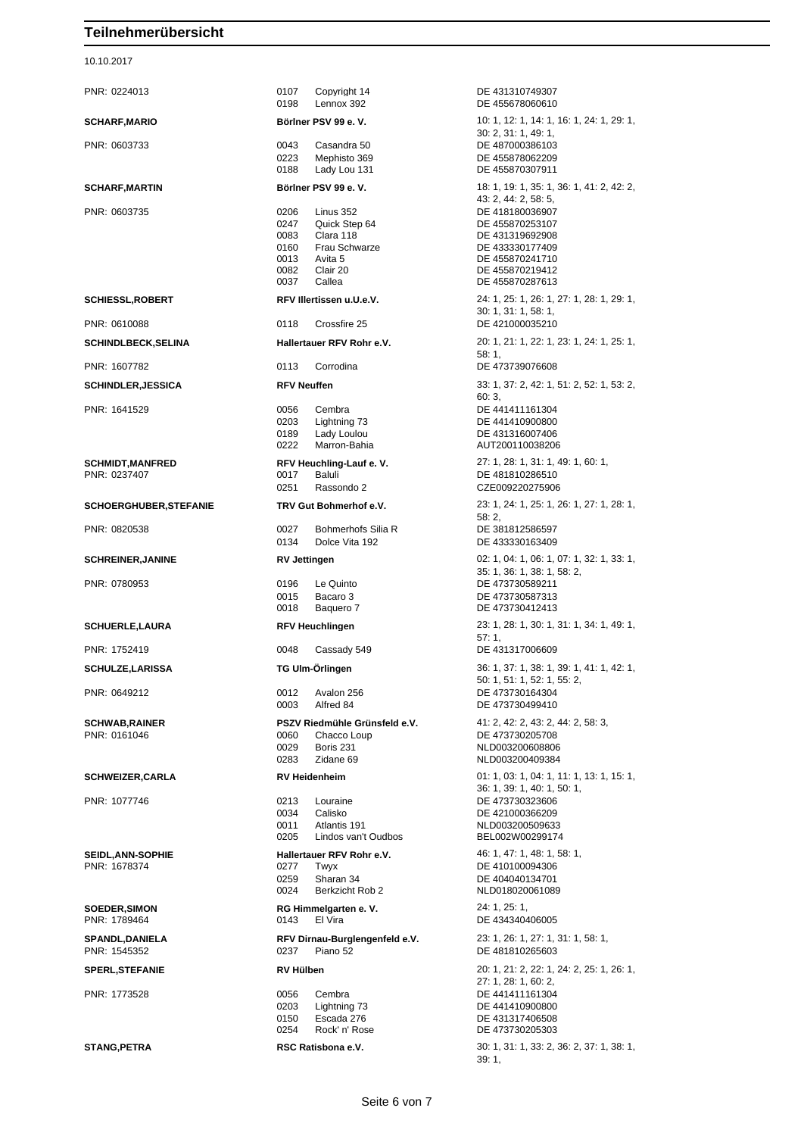10.10.2017

| PNR: 0224013                             | 0107<br>0198                                         |
|------------------------------------------|------------------------------------------------------|
| <b>SCHARF, MARIO</b>                     | <b>Börlner</b>                                       |
| PNR: 0603733                             | 0043<br>0223<br>0188                                 |
| <b>SCHARF, MARTIN</b>                    | Börlner                                              |
| PNR: 0603735                             | 0206<br>0247<br>0083<br>0160<br>0013<br>0082<br>0037 |
| <b>SCHIESSL, ROBERT</b>                  | <b>RFV IIIe</b>                                      |
| PNR: 0610088                             | 0118                                                 |
| <b>SCHINDLBECK, SELINA</b>               | Hallerta                                             |
| PNR: 1607782                             | 0113                                                 |
| <b>SCHINDLER, JESSICA</b>                | <b>RFV Ne</b>                                        |
| PNR: 1641529                             | 0056<br>0203<br>0189<br>0222                         |
| <b>SCHMIDT, MANFRED</b><br>PNR: 0237407  | <b>RFV He</b><br>0017<br>0251                        |
| <b>SCHOERGHUBER, STEFANIE</b>            | <b>TRV Gu</b>                                        |
| PNR: 0820538                             | 0027                                                 |
| <b>SCHREINER, JANINE</b>                 | 0134<br><b>RV Jett</b>                               |
| PNR: 0780953                             | 0196<br>0015                                         |
| <b>SCHUERLE, LAURA</b>                   | 0018<br><b>RFV He</b>                                |
| PNR: 1752419                             | 0048                                                 |
| <b>SCHULZE.LARISSA</b>                   | <b>TG Ulm</b>                                        |
| PNR: 0649212                             | 0012<br>0003                                         |
| <b>SCHWAB, RAINER</b><br>PNR: 0161046    | <b>PSZVR</b><br>0060<br>0029<br>0283                 |
| <b>SCHWEIZER, CARLA</b>                  | <b>RV Heid</b>                                       |
| PNR: 1077746                             | 0213<br>0034<br>0011<br>0205                         |
| <b>SEIDL, ANN-SOPHIE</b><br>PNR: 1678374 | Hallerta<br>0277<br>0259<br>0024                     |
| <b>SOEDER, SIMON</b><br>PNR: 1789464     | <b>RG Him</b><br>0143                                |
| SPANDL, DANIELA<br>PNR: 1545352          | <b>RFV Direct</b><br>0237                            |
| <b>SPERL, STEFANIE</b>                   | <b>RV Hüll</b>                                       |
| PNR 1773528                              | 0056                                                 |

| 0198                         | 0107 Copyright 14<br>Lennox 392                                                        | DE 431310749307<br>DE 455678060610                                                                                  |
|------------------------------|----------------------------------------------------------------------------------------|---------------------------------------------------------------------------------------------------------------------|
|                              | Böriner PSV 99 e.V.                                                                    | 10: 1, 12: 1, 14: 1,                                                                                                |
| 0043                         | Casandra 50                                                                            | 30: 2, 31: 1, 49: 1,<br>DE 487000386103                                                                             |
| 0223<br>0188                 | Mephisto 369<br>Lady Lou 131                                                           | DE 455878062209<br>DE 455870307911                                                                                  |
|                              | Böriner PSV 99 e.V.                                                                    | 18: 1, 19: 1, 35: 1,                                                                                                |
| 0206<br>0083<br>0160<br>0013 | Linus 352<br>0247 Quick Step 64<br>Clara 118<br>Frau Schwarze<br>سط<br>Avita 5<br>ا? ∹ | 43: 2, 44: 2, 58: 5,<br>DE 418180036907<br>DE 455870253107<br>DE 431319692908<br>DE 433330177409<br>DE 455870241710 |
| 0082<br>0037 Callea          | Clair 20                                                                               | DE 455870219412<br>DE 455870287613                                                                                  |
|                              | RFV Illertissen u.U.e.V.                                                               | 24: 1, 25: 1, 26: 1,<br>30: 1, 31: 1, 58: 1,                                                                        |
| 0118                         | Crossfire 25                                                                           | DE 421000035210                                                                                                     |
|                              | Hallertauer RFV Rohr e.V.                                                              | 20: 1, 21: 1, 22: 1,<br>58:1,                                                                                       |
|                              | 0113 Corrodina                                                                         | DE 473739076608                                                                                                     |
| <b>RFV Neuffen</b>           |                                                                                        | 33: 1, 37: 2, 42: 1,<br>60:3,                                                                                       |
| 0056<br>0203<br>0189<br>0222 | Cembra<br>Lightning 73<br>Lady Loulou<br>Marron-Bahia                                  | DE 441411161304<br>DE 441410900800<br>DE 431316007406<br>AUT20011003820                                             |
| 0017                         | RFV Heuchling-Lauf e. V.<br>Baluli                                                     | 27: 1, 28: 1, 31: 1,<br>DE 481810286510                                                                             |
| 0251                         | Rassondo 2                                                                             | CZE00922027590                                                                                                      |
|                              | TRV Gut Bohmerhof e.V.                                                                 | 23: 1, 24: 1, 25: 1,<br>58:2,                                                                                       |
| 0027<br>0134                 | Bohmerhofs Silia R<br>Dolce Vita 192                                                   | DE 381812586597<br>DE 433330163409                                                                                  |
| <b>RV Jettingen</b>          |                                                                                        | 02: 1, 04: 1, 06: 1,<br>35: 1, 36: 1, 38: 1,                                                                        |
| 0196<br>0015<br>0018         | Le Quinto<br>Bacaro 3<br>Baquero 7                                                     | DE 473730589211<br>DE 473730587313<br>DE 473730412413                                                               |
|                              | <b>RFV Heuchlingen</b>                                                                 | 23: 1, 28: 1, 30: 1,<br>57:1,                                                                                       |
| 0048                         | Cassady 549                                                                            | DE 431317006609                                                                                                     |
|                              | TG Ulm-Örlingen                                                                        | 36: 1, 37: 1, 38: 1,                                                                                                |
| 0012<br>0003                 | Avalon 256<br>Alfred 84                                                                | 50: 1, 51: 1, 52: 1,<br>DE 473730164304<br>DE 473730499410                                                          |
| 0060                         | PSZV Riedmühle Grünsfeld e.V.<br>Chacco Loup                                           | 41: 2, 42: 2, 43: 2,<br>DE 473730205708                                                                             |
| 0029<br>0283                 | Boris 231<br>Zidane 69                                                                 | NLD00320060880<br>NLD003200409384                                                                                   |
| <b>RV Heidenheim</b>         |                                                                                        | 01: 1, 03: 1, 04: 1,                                                                                                |
| 0034<br>0011<br>0205         | 0213 Louraine<br>Calisko<br>Atlantis 191<br>Lindos van't Oudbos                        | 36: 1, 39: 1, 40: 1,<br>DE 473730323606<br>DE 421000366209<br>NLD00320050963<br>BEL002W0029917                      |
|                              | Hallertauer RFV Rohr e.V.                                                              | 46: 1, 47: 1, 48: 1,                                                                                                |
| 0277 Twyx<br>0259<br>0024    | Sharan 34<br>Berkzicht Rob 2                                                           | DE 410100094306<br>DE 404040134701<br>NLD018020061089                                                               |
| 0143                         | RG Himmelgarten e.V.<br>El Vira                                                        | 24: 1, 25: 1,<br>DE 434340406005                                                                                    |
| 0237                         | RFV Dirnau-Burglengenfeld e.V.<br>Piano 52                                             | 23: 1, 26: 1, 27: 1,<br>DE 481810265603                                                                             |
| RV Hülben                    |                                                                                        | 20: 1, 21: 2, 22: 1,<br>27: 1, 28: 1, 60: 2,                                                                        |
| 0056<br>0203<br>0254         | Cembra<br>Lightning 73<br>0150 Escada 276<br>Rock' n' Rose                             | DE 441411161304<br>DE 441410900800<br>DE 431317406508<br>DE 473730205303                                            |
|                              |                                                                                        |                                                                                                                     |

DE 431310749307 DE 455678060610 **SCHARF,MARIO Börlner PSV 99 e. V.** 10: 1, 12: 1, 14: 1, 16: 1, 24: 1, 29: 1, 30: 2, 31: 1, 49: 1, DE 487000386103 DE 455878062209 DE 455870307911 **SCHARF,MARTIN Börlner PSV 99 e. V.** 18: 1, 19: 1, 35: 1, 36: 1, 41: 2, 42: 2, 43: 2, 44: 2, 58: 5, DE 418180036907 DE 455870253107 DE 431319692908 DE 433330177409 DE 455870241710 DE 455870219412 DE 455870287613 **SCHIESSL,ROBERT RFV Illertissen u.U.e.V.** 24: 1, 25: 1, 26: 1, 27: 1, 28: 1, 29: 1, 30: 1, 31: 1, 58: 1, DE 421000035210 **SCHINDLBECK,SELINA Hallertauer RFV Rohr e.V.** 20: 1, 21: 1, 22: 1, 23: 1, 24: 1, 25: 1, 58: 1, DE 473739076608 33: 1, 37: 2, 42: 1, 51: 2, 52: 1, 53: 2, 60: 3, DE 441411161304 DE 441410900800 DE 431316007406 AUT200110038206 **SCHMIDT,MANFRED RFV Heuchling-Lauf e. V.** 27: 1, 28: 1, 31: 1, 49: 1, 60: 1, DE 481810286510 CZE009220275906 **SCHOERGHUBER,STEFANIE TRV Gut Bohmerhof e.V.** 23: 1, 24: 1, 25: 1, 26: 1, 27: 1, 28: 1, 58: 2, DE 381812586597 DE 433330163409 02: 1, 04: 1, 06: 1, 07: 1, 32: 1, 33: 1, 35: 1, 36: 1, 38: 1, 58: 2, DE 473730589211 DE 473730587313 DE 473730412413 **SCHUERLE,LAURA RFV Heuchlingen** 23: 1, 28: 1, 30: 1, 31: 1, 34: 1, 49: 1,  $57:1$ DE 431317006609 **SCHULZE,LARISSA TG Ulm-Örlingen** 36: 1, 37: 1, 38: 1, 39: 1, 41: 1, 42: 1, 50: 1, 51: 1, 52: 1, 55: 2, DE 473730164304 DE 473730499410 **SCHWAB,RAINER PSZV Riedmühle Grünsfeld e.V.** 41: 2, 42: 2, 43: 2, 44: 2, 58: 3, DE 473730205708 NLD003200608806 NLD003200409384 01: 1, 03: 1, 04: 1, 11: 1, 13: 1, 15: 1, 36: 1, 39: 1, 40: 1, 50: 1, DE 473730323606 DE 421000366209 NLD003200509633 BEL002W00299174 **SEIDL,ANN-SOPHIE Hallertauer RFV Rohr e.V.** 46: 1, 47: 1, 48: 1, 58: 1, DE 410100094306 DE 404040134701 NLD018020061089 **SOEDER,SIMON RG Himmelgarten e. V.** 24: 1, 25: 1, DE 434340406005 **SPANDL,DANIELA RFV Dirnau-Burglengenfeld e.V.** 23: 1, 26: 1, 27: 1, 31: 1, 58: 1, DE 481810265603 **SPERL,STEFANIE RV Hülben** 20: 1, 21: 2, 22: 1, 24: 2, 25: 1, 26: 1, 27: 1, 28: 1, 60: 2, DE 441411161304 DE 473730205303 **STANG, PETRA RSC Ratisbona e.V.** 30: 1, 31: 1, 33: 2, 36: 2, 37: 1, 38: 1, 38: 1, 39: 1,